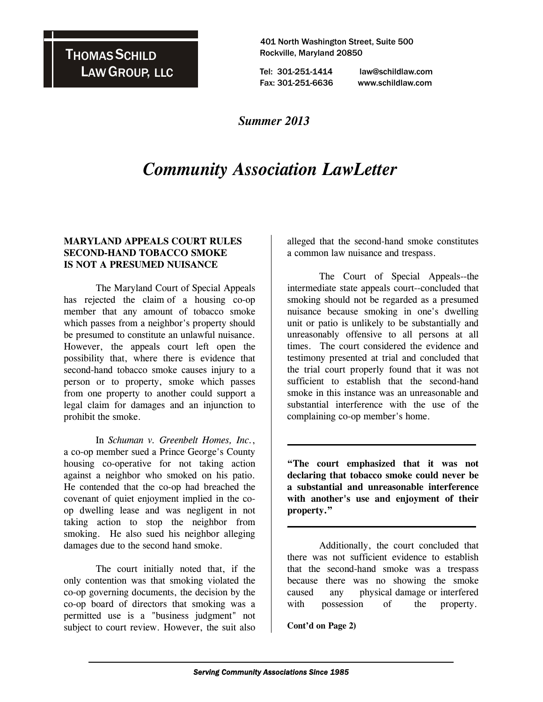## THOMAS SCHILD LAW GROUP, LLC

 401 North Washington Street, Suite 500 Rockville, Maryland 20850

 Tel: 301-251-1414 law@schildlaw.com Fax: 301-251-6636 www.schildlaw.com

### *Summer 2013*

# *Community Association LawLetter*

#### **MARYLAND APPEALS COURT RULES SECOND-HAND TOBACCO SMOKE IS NOT A PRESUMED NUISANCE**

 The Maryland Court of Special Appeals has rejected the claim of a housing co-op member that any amount of tobacco smoke which passes from a neighbor's property should be presumed to constitute an unlawful nuisance. However, the appeals court left open the possibility that, where there is evidence that second-hand tobacco smoke causes injury to a person or to property, smoke which passes from one property to another could support a legal claim for damages and an injunction to prohibit the smoke.

 In *Schuman v. Greenbelt Homes, Inc.*, a co-op member sued a Prince George's County housing co-operative for not taking action against a neighbor who smoked on his patio. He contended that the co-op had breached the covenant of quiet enjoyment implied in the coop dwelling lease and was negligent in not taking action to stop the neighbor from smoking. He also sued his neighbor alleging damages due to the second hand smoke.

 The court initially noted that, if the only contention was that smoking violated the co-op governing documents, the decision by the co-op board of directors that smoking was a permitted use is a "business judgment" not subject to court review. However, the suit also alleged that the second-hand smoke constitutes a common law nuisance and trespass.

 The Court of Special Appeals--the intermediate state appeals court--concluded that smoking should not be regarded as a presumed nuisance because smoking in one's dwelling unit or patio is unlikely to be substantially and unreasonably offensive to all persons at all times. The court considered the evidence and testimony presented at trial and concluded that the trial court properly found that it was not sufficient to establish that the second-hand smoke in this instance was an unreasonable and substantial interference with the use of the complaining co-op member's home.

**"The court emphasized that it was not declaring that tobacco smoke could never be a substantial and unreasonable interference with another's use and enjoyment of their property."** 

 $\mathcal{L}_\text{max}$  and  $\mathcal{L}_\text{max}$  and  $\mathcal{L}_\text{max}$  and  $\mathcal{L}_\text{max}$ 

 $\mathcal{L}_\text{max}$  and  $\mathcal{L}_\text{max}$  and  $\mathcal{L}_\text{max}$  and  $\mathcal{L}_\text{max}$ 

 Additionally, the court concluded that there was not sufficient evidence to establish that the second-hand smoke was a trespass because there was no showing the smoke caused any physical damage or interfered with possession of the property.

**Cont'd on Page 2)**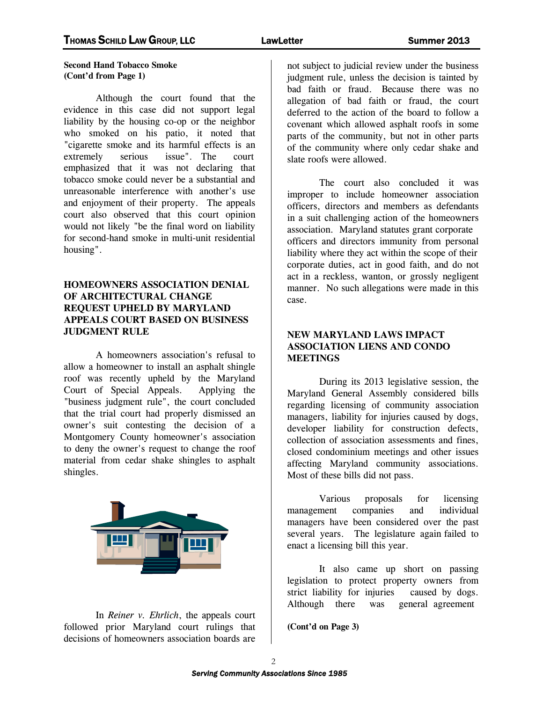#### **Second Hand Tobacco Smoke (Cont'd from Page 1)**

 Although the court found that the evidence in this case did not support legal liability by the housing co-op or the neighbor who smoked on his patio, it noted that "cigarette smoke and its harmful effects is an extremely serious issue". The court emphasized that it was not declaring that tobacco smoke could never be a substantial and unreasonable interference with another's use and enjoyment of their property. The appeals court also observed that this court opinion would not likely "be the final word on liability for second-hand smoke in multi-unit residential housing".

#### **HOMEOWNERS ASSOCIATION DENIAL OF ARCHITECTURAL CHANGE REQUEST UPHELD BY MARYLAND APPEALS COURT BASED ON BUSINESS JUDGMENT RULE**

 A homeowners association's refusal to allow a homeowner to install an asphalt shingle roof was recently upheld by the Maryland Court of Special Appeals. Applying the "business judgment rule", the court concluded that the trial court had properly dismissed an owner's suit contesting the decision of a Montgomery County homeowner's association to deny the owner's request to change the roof material from cedar shake shingles to asphalt shingles.



 In *Reiner v. Ehrlich*, the appeals court followed prior Maryland court rulings that decisions of homeowners association boards are

not subject to judicial review under the business judgment rule, unless the decision is tainted by bad faith or fraud. Because there was no allegation of bad faith or fraud, the court deferred to the action of the board to follow a covenant which allowed asphalt roofs in some parts of the community, but not in other parts of the community where only cedar shake and slate roofs were allowed.

 The court also concluded it was improper to include homeowner association officers, directors and members as defendants in a suit challenging action of the homeowners association. Maryland statutes grant corporate officers and directors immunity from personal liability where they act within the scope of their corporate duties, act in good faith, and do not act in a reckless, wanton, or grossly negligent manner. No such allegations were made in this case.

#### **NEW MARYLAND LAWS IMPACT ASSOCIATION LIENS AND CONDO MEETINGS**

 During its 2013 legislative session, the Maryland General Assembly considered bills regarding licensing of community association managers, liability for injuries caused by dogs, developer liability for construction defects, collection of association assessments and fines, closed condominium meetings and other issues affecting Maryland community associations. Most of these bills did not pass.

 Various proposals for licensing management companies and individual managers have been considered over the past several years. The legislature again failed to enact a licensing bill this year.

 It also came up short on passing legislation to protect property owners from strict liability for injuries caused by dogs. Although there was general agreement

**(Cont'd on Page 3)**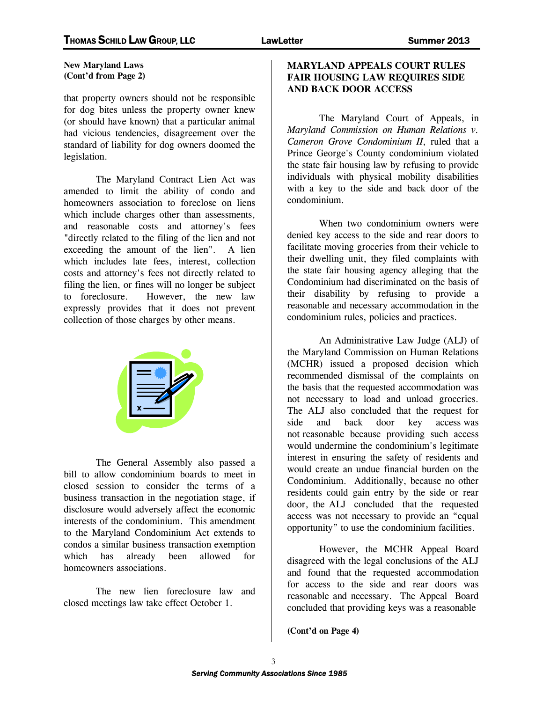#### **New Maryland Laws (Cont'd from Page 2)**

that property owners should not be responsible for dog bites unless the property owner knew (or should have known) that a particular animal had vicious tendencies, disagreement over the standard of liability for dog owners doomed the legislation.

 The Maryland Contract Lien Act was amended to limit the ability of condo and homeowners association to foreclose on liens which include charges other than assessments, and reasonable costs and attorney's fees "directly related to the filing of the lien and not exceeding the amount of the lien". A lien which includes late fees, interest, collection costs and attorney's fees not directly related to filing the lien, or fines will no longer be subject to foreclosure. However, the new law expressly provides that it does not prevent collection of those charges by other means.



 The General Assembly also passed a bill to allow condominium boards to meet in closed session to consider the terms of a business transaction in the negotiation stage, if disclosure would adversely affect the economic interests of the condominium. This amendment to the Maryland Condominium Act extends to condos a similar business transaction exemption which has already been allowed for homeowners associations.

 The new lien foreclosure law and closed meetings law take effect October 1.

#### **MARYLAND APPEALS COURT RULES FAIR HOUSING LAW REQUIRES SIDE AND BACK DOOR ACCESS**

 The Maryland Court of Appeals, in *Maryland Commission on Human Relations v. Cameron Grove Condominium II*, ruled that a Prince George's County condominium violated the state fair housing law by refusing to provide individuals with physical mobility disabilities with a key to the side and back door of the condominium.

 When two condominium owners were denied key access to the side and rear doors to facilitate moving groceries from their vehicle to their dwelling unit, they filed complaints with the state fair housing agency alleging that the Condominium had discriminated on the basis of their disability by refusing to provide a reasonable and necessary accommodation in the condominium rules, policies and practices.

 An Administrative Law Judge (ALJ) of the Maryland Commission on Human Relations (MCHR) issued a proposed decision which recommended dismissal of the complaints on the basis that the requested accommodation was not necessary to load and unload groceries. The ALJ also concluded that the request for side and back door key access was not reasonable because providing such access would undermine the condominium's legitimate interest in ensuring the safety of residents and would create an undue financial burden on the Condominium. Additionally, because no other residents could gain entry by the side or rear door, the ALJ concluded that the requested access was not necessary to provide an "equal opportunity" to use the condominium facilities.

However, the MCHR Appeal Board disagreed with the legal conclusions of the ALJ and found that the requested accommodation for access to the side and rear doors was reasonable and necessary. The Appeal Board concluded that providing keys was a reasonable

**(Cont'd on Page 4)**